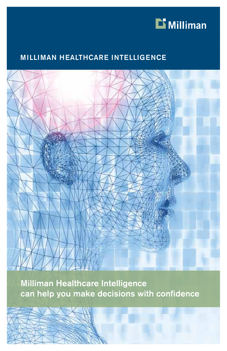

### MILLIMAN HEALTHCARE INTELLIGENCE



Milliman Healthcare Intelligence can help you make decisions with confidence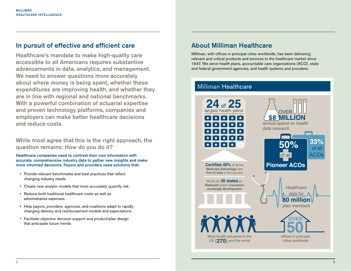### In pursuit of effective and efficient care

Healthcare's mandate to make high-quality care accessible to all Americans requires substantive advancements in data, analytics, and management. We need to answer questions more accurately about where money is being spent, whether these expenditures are improving health, and whether they are in line with regional and national benchmarks. With a powerful combination of actuarial expertise and proven technology platforms, companies and employers can make better healthcare decisions and reduce costs.

While most agree that this is the right approach, the question remains: How do you do it?

Healthcare companies need to contrast their own information with accurate, comprehensive industry data to gather new insights and make more informed decisions. Payors and providers need solutions that:

- Provide relevant benchmarks and best practices that reflect changing industry needs
- Create new analytic models that more accurately quantify risk
- Reduce both traditional healthcare costs as well as administrative expenses
- Help payors, providers, agencies, and coalitions adapt to rapidly changing delivery and reimbursement models and expectations
- Facilitate objective decision support and product/plan design that anticipate future trends

### About Milliman Healthcare

Milliman, with offices in principal cities worldwide, has been delivering relevant and critical products and services to the healthcare market since 1947. We serve health plans, accountable care organizations (ACO), state and federal government agencies, and health systems and providers.

### **Milliman Healthcare**

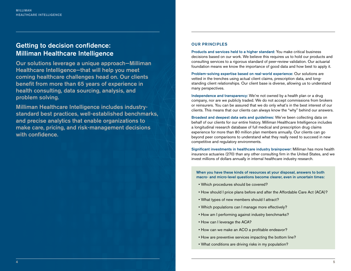### Getting to decision confidence: Milliman Healthcare Intelligence

Our solutions leverage a unique approach—Milliman Healthcare Intelligence—that will help you meet coming healthcare challenges head on. Our clients benefit from more than 65 years of experience in health consulting, data sourcing, analysis, and problem solving.

Milliman Healthcare Intelligence includes industrystandard best practices, well-established benchmarks, and precise analytics that enable organizations to make care, pricing, and risk-management decisions with confidence.

#### OUR PRINCIPLES

Products and services held to a higher standard: You make critical business decisions based on our work. We believe this requires us to hold our products and consulting services to a rigorous standard of peer-review validation. Our actuarial foundation means we know the importance of good data and how best to apply it.

Problem-solving expertise based on real-world experience: Our solutions are vetted in the trenches using actual client claims, prescription data, and longstanding client relationships. Our client base is diverse, allowing us to understand many perspectives.

Independence and transparency: We're not owned by a health plan or a drug company, nor are we publicly traded. We do not accept commissions from brokers or reinsurers. You can be assured that we do only what's in the best interest of our clients. This means that our clients can always know the "why" behind our answers.

Broadest and deepest data sets and guidelines: We've been collecting data on behalf of our clients for our entire history. Milliman Healthcare Intelligence includes a longitudinal research database of full medical and prescription drug claims experience for more than 80 million plan members annually. Our clients can go beyond peer comparisons to understand what they really need to succeed in new competitive and regulatory environments.

Significant investments in healthcare industry brainpower: Milliman has more health insurance actuaries (270) than any other consulting firm in the United States, and we invest millions of dollars annually in internal healthcare industry research.

When you have these kinds of resources at your disposal, answers to both macro- and micro-level questions become clearer, even in uncertain times:

- Which procedures should be covered?
- How should I price plans before and after the Affordable Care Act (ACA)?
- What types of new members should I attract?
- Which populations can I manage more effectively?
- How am I performing against industry benchmarks?
- How can I leverage the ACA?
- How can we make an ACO a profitable endeavor?
- How are preventive services impacting the bottom line?
- What conditions are driving risks in my population?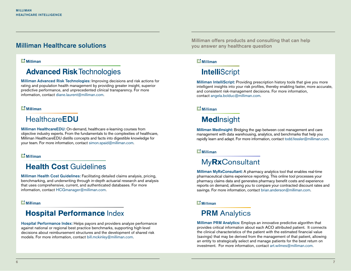### Milliman Healthcare solutions

#### $\mathbf{L}$  Milliman

## **Advanced Risk Technologies**

Milliman Advanced Risk Technologies: Improving decisions and risk actions for rating and population health management by providing greater insight, superior predictive performance, and unprecedented clinical transparency. For more information, contact diane.laurent@milliman.com.

#### $\mathbf{D}$  Milliman

## **HealthcareEDU**

Milliman HealthcareEDU: On-demand, healthcare e-learning courses from objective industry experts. From the fundamentals to the complexities of healthcare, Milliman HealthcareEDU distills concepts and facts into digestible knowledge for your team. For more information, contact simon.spaid@milliman.com.

#### $\mathbf{\mathbf{\mathsf{\Xi}}}$  Milliman

### **Health Cost Guidelines**

Milliman Health Cost Guidelines: Facilitating detailed claims analysis, pricing, benchmarking, and underwriting through in-depth actuarial research and analysis that uses comprehensive, current, and authenticated databases. For more information, contact HCGmanager@milliman.com.

#### $\mathbf{L}$  Milliman

### **Hospital Performance Index**

Hospital Performance Index: Helps payors and providers analyze performance against national or regional best practice benchmarks, supporting high-level decisions about reimbursement structures and the development of shared risk models. For more information, contact bill.mckinley@milliman.com.

Milliman offers products and consulting that can help you answer any healthcare question

#### $\mathbf{L}$  Milliman

## **IntelliScript**

Milliman IntelliScript: Providing prescription history tools that give you more intelligent insights into your risk profiles, thereby enabling faster, more accurate, and consistent risk-management decisions. For more information, contact angela.bolduc@milliman.com.

#### $E$  Milliman

## **MedInsight**

Milliman MedInsight: Bridging the gap between cost management and care management with data warehousing, analytics, and benchmarks that help you rapidly learn and adapt. For more information, contact todd.fessler@milliman.com.

#### $\mathbf{D}$  Milliman

## My**Rx**Consultant

Milliman MyRxConsultant: A pharmacy analytics tool that enables real-time pharmaceutical claims experience reporting. This online tool processes your pharmacy claims data and generates pharmacy benefit costs and experience reports on demand, allowing you to compare your contracted discount rates and savings. For more information, contact brian.anderson@milliman.com.

#### $\mathbf{\mathbf{\mathsf{\Xi}}}$  Milliman

## **PRM** Analytics

Milliman PRM Analytics: Employs an innovative predictive algorithm that provides critical information about each ACO attributed patient. It connects the clinical characteristics of the patient with the estimated financial value (savings) that may be derived from the management of that patient, allowing an entity to strategically select and manage patients for the best return on investment. For more information, contact art.wilmes@milliman.com.